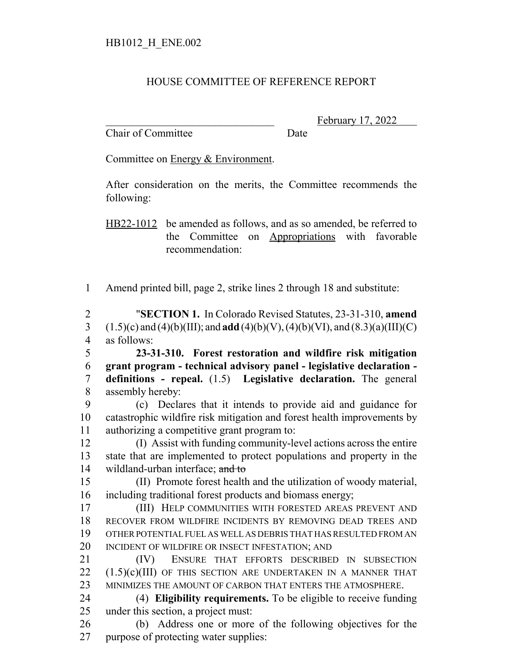## HOUSE COMMITTEE OF REFERENCE REPORT

Chair of Committee Date

February 17, 2022

Committee on Energy & Environment.

After consideration on the merits, the Committee recommends the following:

HB22-1012 be amended as follows, and as so amended, be referred to the Committee on Appropriations with favorable recommendation:

Amend printed bill, page 2, strike lines 2 through 18 and substitute:

 "**SECTION 1.** In Colorado Revised Statutes, 23-31-310, **amend** 3 (1.5)(c) and (4)(b)(III); and **add** (4)(b)(V), (4)(b)(VI), and (8.3)(a)(III)(C) as follows:

 **23-31-310. Forest restoration and wildfire risk mitigation grant program - technical advisory panel - legislative declaration - definitions - repeal.** (1.5) **Legislative declaration.** The general assembly hereby:

 (c) Declares that it intends to provide aid and guidance for catastrophic wildfire risk mitigation and forest health improvements by authorizing a competitive grant program to:

 (I) Assist with funding community-level actions across the entire state that are implemented to protect populations and property in the 14 wildland-urban interface; and to

 (II) Promote forest health and the utilization of woody material, including traditional forest products and biomass energy;

 (III) HELP COMMUNITIES WITH FORESTED AREAS PREVENT AND RECOVER FROM WILDFIRE INCIDENTS BY REMOVING DEAD TREES AND OTHER POTENTIAL FUEL AS WELL AS DEBRIS THAT HAS RESULTED FROM AN 20 INCIDENT OF WILDFIRE OR INSECT INFESTATION; AND

 (IV) ENSURE THAT EFFORTS DESCRIBED IN SUBSECTION  $(1.5)(c)(III)$  OF THIS SECTION ARE UNDERTAKEN IN A MANNER THAT MINIMIZES THE AMOUNT OF CARBON THAT ENTERS THE ATMOSPHERE.

 (4) **Eligibility requirements.** To be eligible to receive funding under this section, a project must:

 (b) Address one or more of the following objectives for the purpose of protecting water supplies: